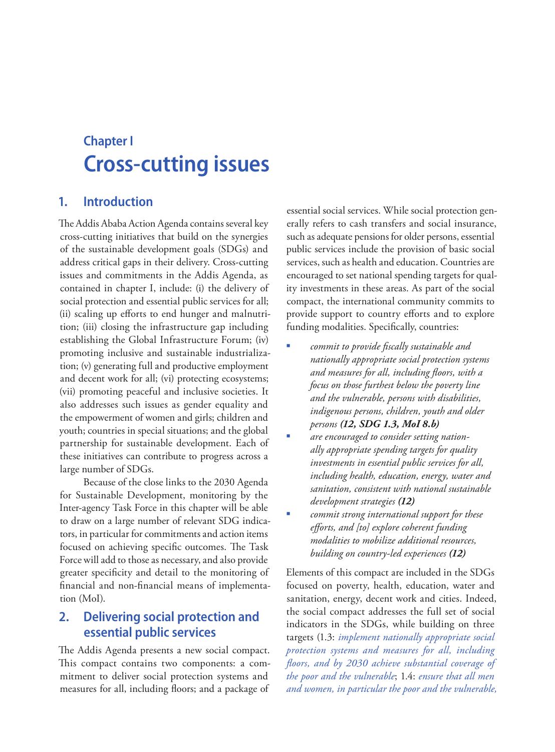# **Chapter I Cross-cutting issues**

# **1. Introduction**

The Addis Ababa Action Agenda contains several key cross-cutting initiatives that build on the synergies of the sustainable development goals (SDGs) and address critical gaps in their delivery. Cross-cutting issues and commitments in the Addis Agenda, as contained in chapter I, include: (i) the delivery of social protection and essential public services for all; (ii) scaling up efforts to end hunger and malnutrition; (iii) closing the infrastructure gap including establishing the Global Infrastructure Forum; (iv) promoting inclusive and sustainable industrialization; (v) generating full and productive employment and decent work for all; (vi) protecting ecosystems; (vii) promoting peaceful and inclusive societies. It also addresses such issues as gender equality and the empowerment of women and girls; children and youth; countries in special situations; and the global partnership for sustainable development. Each of these initiatives can contribute to progress across a large number of SDGs.

Because of the close links to the 2030 Agenda for Sustainable Development, monitoring by the Inter-agency Task Force in this chapter will be able to draw on a large number of relevant SDG indicators, in particular for commitments and action items focused on achieving specific outcomes. The Task Force will add to those as necessary, and also provide greater specificity and detail to the monitoring of financial and non-financial means of implementation (MoI).

# **2. Delivering social protection and essential public services**

The Addis Agenda presents a new social compact. This compact contains two components: a commitment to deliver social protection systems and measures for all, including floors; and a package of

essential social services. While social protection generally refers to cash transfers and social insurance, such as adequate pensions for older persons, essential public services include the provision of basic social services, such as health and education. Countries are encouraged to set national spending targets for quality investments in these areas. As part of the social compact, the international community commits to provide support to country efforts and to explore funding modalities. Specifically, countries:

- *commit to provide fiscally sustainable and nationally appropriate social protection systems and measures for all, including floors, with a focus on those furthest below the poverty line and the vulnerable, persons with disabilities, indigenous persons, children, youth and older persons (12, SDG 1.3, MoI 8.b)*
- *are encouraged to consider setting nationally appropriate spending targets for quality investments in essential public services for all, including health, education, energy, water and sanitation, consistent with national sustainable development strategies (12)*
- *commit strong international support for these efforts, and [to] explore coherent funding modalities to mobilize additional resources, building on country-led experiences (12)*

Elements of this compact are included in the SDGs focused on poverty, health, education, water and sanitation, energy, decent work and cities. Indeed, the social compact addresses the full set of social indicators in the SDGs, while building on three targets (1.3: *implement nationally appropriate social protection systems and measures for all, including floors, and by 2030 achieve substantial coverage of the poor and the vulnerable*; 1.4: *ensure that all men and women, in particular the poor and the vulnerable,*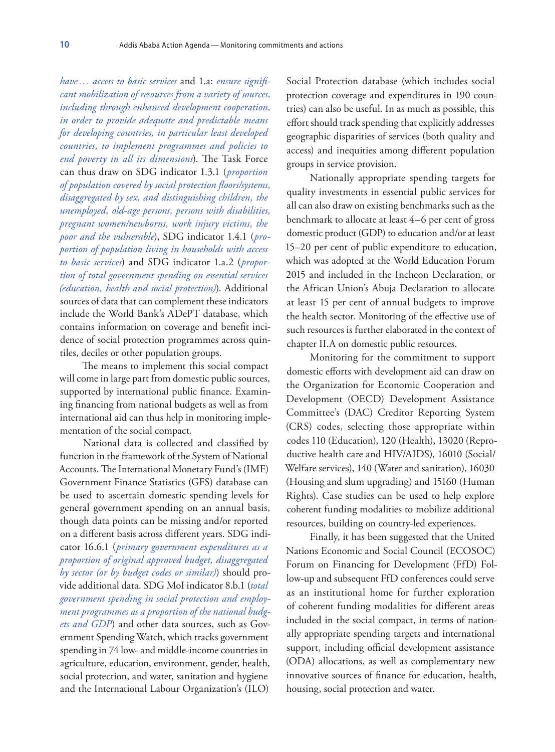*have… access to basic services* and 1.a: *ensure significant mobilization of resources from a variety of sources, including through enhanced development cooperation, in order to provide adequate and predictable means for developing countries, in particular least developed countries, to implement programmes and policies to end poverty in all its dimensions*). The Task Force can thus draw on SDG indicator 1.3.1 (*proportion of population covered by social protection floors/systems, disaggregated by sex, and distinguishing children, the unemployed, old-age persons, persons with disabilities, pregnant women/newborns, work injury victims, the poor and the vulnerable*), SDG indicator 1.4.1 (*proportion of population living in households with access to basic services*) and SDG indicator 1.a.2 (*proportion of total government spending on essential services (education, health and social protection)*). Additional sources of data that can complement these indicators include the World Bank's ADePT database, which contains information on coverage and benefit incidence of social protection programmes across quintiles, deciles or other population groups.

The means to implement this social compact will come in large part from domestic public sources, supported by international public finance. Examining financing from national budgets as well as from international aid can thus help in monitoring implementation of the social compact.

National data is collected and classified by function in the framework of the System of National Accounts. The International Monetary Fund's (IMF) Government Finance Statistics (GFS) database can be used to ascertain domestic spending levels for general government spending on an annual basis, though data points can be missing and/or reported on a different basis across different years. SDG indicator 16.6.1 (*primary government expenditures as a proportion of original approved budget, disaggregated by sector (or by budget codes or similar)*) should provide additional data. SDG MoI indicator 8.b.1 (*total government spending in social protection and employment programmes as a proportion of the national budgets and GDP*) and other data sources, such as Government Spending Watch, which tracks government spending in 74 low- and middle-income countries in agriculture, education, environment, gender, health, social protection, and water, sanitation and hygiene and the International Labour Organization's (ILO)

Social Protection database (which includes social protection coverage and expenditures in 190 countries) can also be useful. In as much as possible, this effort should track spending that explicitly addresses geographic disparities of services (both quality and access) and inequities among different population groups in service provision.

Nationally appropriate spending targets for quality investments in essential public services for all can also draw on existing benchmarks such as the benchmark to allocate at least 4–6 per cent of gross domestic product (GDP) to education and/or at least 15–20 per cent of public expenditure to education, which was adopted at the World Education Forum 2015 and included in the Incheon Declaration, or the African Union's Abuja Declaration to allocate at least 15 per cent of annual budgets to improve the health sector. Monitoring of the effective use of such resources is further elaborated in the context of chapter II.A on domestic public resources.

Monitoring for the commitment to support domestic efforts with development aid can draw on the Organization for Economic Cooperation and Development (OECD) Development Assistance Committee's (DAC) Creditor Reporting System (CRS) codes, selecting those appropriate within codes 110 (Education), 120 (Health), 13020 (Reproductive health care and HIV/AIDS), 16010 (Social/ Welfare services), 140 (Water and sanitation), 16030 (Housing and slum upgrading) and 15160 (Human Rights). Case studies can be used to help explore coherent funding modalities to mobilize additional resources, building on country-led experiences.

Finally, it has been suggested that the United Nations Economic and Social Council (ECOSOC) Forum on Financing for Development (FfD) Follow-up and subsequent FfD conferences could serve as an institutional home for further exploration of coherent funding modalities for different areas included in the social compact, in terms of nationally appropriate spending targets and international support, including official development assistance (ODA) allocations, as well as complementary new innovative sources of finance for education, health, housing, social protection and water.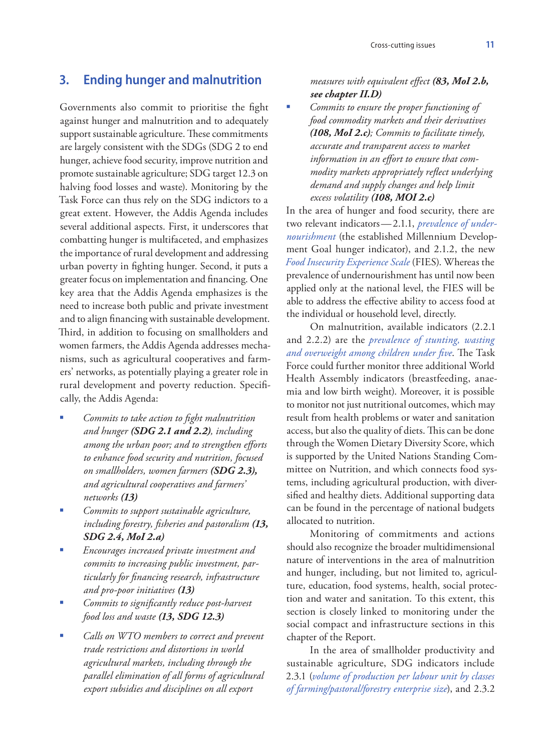# **3. Ending hunger and malnutrition**

Governments also commit to prioritise the fight against hunger and malnutrition and to adequately support sustainable agriculture. These commitments are largely consistent with the SDGs (SDG 2 to end hunger, achieve food security, improve nutrition and promote sustainable agriculture; SDG target 12.3 on halving food losses and waste). Monitoring by the Task Force can thus rely on the SDG indictors to a great extent. However, the Addis Agenda includes several additional aspects. First, it underscores that combatting hunger is multifaceted, and emphasizes the importance of rural development and addressing urban poverty in fighting hunger. Second, it puts a greater focus on implementation and financing. One key area that the Addis Agenda emphasizes is the need to increase both public and private investment and to align financing with sustainable development. Third, in addition to focusing on smallholders and women farmers, the Addis Agenda addresses mechanisms, such as agricultural cooperatives and farmers' networks, as potentially playing a greater role in rural development and poverty reduction. Specifically, the Addis Agenda:

- *Commits to take action to fight malnutrition and hunger (SDG 2.1 and 2.2), including among the urban poor; and to strengthen efforts to enhance food security and nutrition, focused on smallholders, women farmers (SDG 2.3), and agricultural cooperatives and farmers' networks (13)*
- *Commits to support sustainable agriculture, including forestry, fisheries and pastoralism (13, SDG 2.4, MoI 2.a)*
- *Encourages increased private investment and commits to increasing public investment, particularly for financing research, infrastructure and pro-poor initiatives (13)*
- *Commits to significantly reduce post-harvest food loss and waste (13, SDG 12.3)*
- *Calls on WTO members to correct and prevent trade restrictions and distortions in world agricultural markets, including through the parallel elimination of all forms of agricultural export subsidies and disciplines on all export*

*measures with equivalent effect (83, MoI 2.b, see chapter II.D)*

 *Commits to ensure the proper functioning of food commodity markets and their derivatives (108, MoI 2.c); Commits to facilitate timely, accurate and transparent access to market information in an effort to ensure that commodity markets appropriately reflect underlying demand and supply changes and help limit excess volatility (108, MOI 2.c)*

In the area of hunger and food security, there are two relevant indicators—2.1.1, *prevalence of undernourishment* (the established Millennium Development Goal hunger indicator), and 2.1.2, the new *Food Insecurity Experience Scale* (FIES). Whereas the prevalence of undernourishment has until now been applied only at the national level, the FIES will be able to address the effective ability to access food at the individual or household level, directly.

On malnutrition, available indicators (2.2.1 and 2.2.2) are the *prevalence of stunting, wasting and overweight among children under five*. The Task Force could further monitor three additional World Health Assembly indicators (breastfeeding, anaemia and low birth weight). Moreover, it is possible to monitor not just nutritional outcomes, which may result from health problems or water and sanitation access, but also the quality of diets. This can be done through the Women Dietary Diversity Score, which is supported by the United Nations Standing Committee on Nutrition, and which connects food systems, including agricultural production, with diversified and healthy diets. Additional supporting data can be found in the percentage of national budgets allocated to nutrition.

Monitoring of commitments and actions should also recognize the broader multidimensional nature of interventions in the area of malnutrition and hunger, including, but not limited to, agriculture, education, food systems, health, social protection and water and sanitation. To this extent, this section is closely linked to monitoring under the social compact and infrastructure sections in this chapter of the Report.

In the area of smallholder productivity and sustainable agriculture, SDG indicators include 2.3.1 (*volume of production per labour unit by classes of farming/pastoral/forestry enterprise size*), and 2.3.2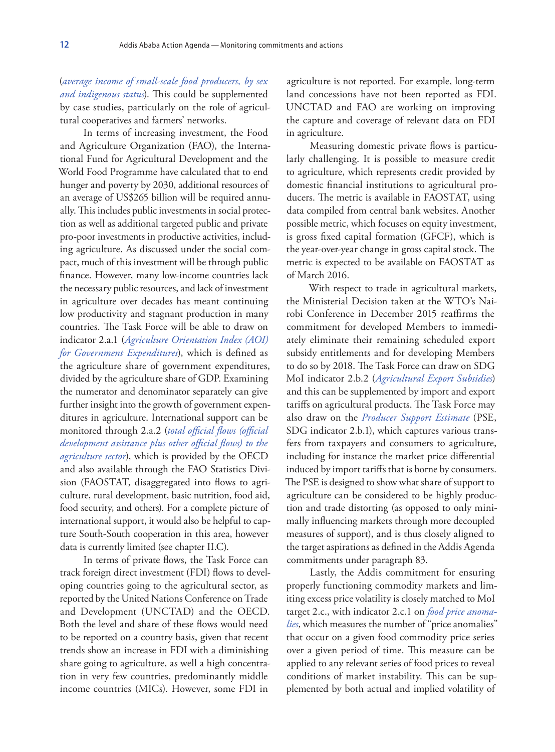(*average income of small-scale food producers, by sex and indigenous status*). This could be supplemented by case studies, particularly on the role of agricultural cooperatives and farmers' networks.

In terms of increasing investment, the Food and Agriculture Organization (FAO), the International Fund for Agricultural Development and the World Food Programme have calculated that to end hunger and poverty by 2030, additional resources of an average of US\$265 billion will be required annually. This includes public investments in social protection as well as additional targeted public and private pro-poor investments in productive activities, including agriculture. As discussed under the social compact, much of this investment will be through public finance. However, many low-income countries lack the necessary public resources, and lack of investment in agriculture over decades has meant continuing low productivity and stagnant production in many countries. The Task Force will be able to draw on indicator 2.a.1 (*Agriculture Orientation Index (AOI) for Government Expenditures*), which is defined as the agriculture share of government expenditures, divided by the agriculture share of GDP. Examining the numerator and denominator separately can give further insight into the growth of government expenditures in agriculture. International support can be monitored through 2.a.2 (*total official flows (official development assistance plus other official flows) to the agriculture sector*), which is provided by the OECD and also available through the FAO Statistics Division (FAOSTAT, disaggregated into flows to agriculture, rural development, basic nutrition, food aid, food security, and others). For a complete picture of international support, it would also be helpful to capture South-South cooperation in this area, however data is currently limited (see chapter II.C).

In terms of private flows, the Task Force can track foreign direct investment (FDI) flows to developing countries going to the agricultural sector, as reported by the United Nations Conference on Trade and Development (UNCTAD) and the OECD. Both the level and share of these flows would need to be reported on a country basis, given that recent trends show an increase in FDI with a diminishing share going to agriculture, as well a high concentration in very few countries, predominantly middle income countries (MICs). However, some FDI in

agriculture is not reported. For example, long-term land concessions have not been reported as FDI. UNCTAD and FAO are working on improving the capture and coverage of relevant data on FDI in agriculture.

Measuring domestic private flows is particularly challenging. It is possible to measure credit to agriculture, which represents credit provided by domestic financial institutions to agricultural producers. The metric is available in FAOSTAT, using data compiled from central bank websites. Another possible metric, which focuses on equity investment, is gross fixed capital formation (GFCF), which is the year-over-year change in gross capital stock. The metric is expected to be available on FAOSTAT as of March 2016.

With respect to trade in agricultural markets, the Ministerial Decision taken at the WTO's Nairobi Conference in December 2015 reaffirms the commitment for developed Members to immediately eliminate their remaining scheduled export subsidy entitlements and for developing Members to do so by 2018. The Task Force can draw on SDG MoI indicator 2.b.2 (*Agricultural Export Subsidies*) and this can be supplemented by import and export tariffs on agricultural products. The Task Force may also draw on the *Producer Support Estimate* (PSE, SDG indicator 2.b.1), which captures various transfers from taxpayers and consumers to agriculture, including for instance the market price differential induced by import tariffs that is borne by consumers. The PSE is designed to show what share of support to agriculture can be considered to be highly production and trade distorting (as opposed to only minimally influencing markets through more decoupled measures of support), and is thus closely aligned to the target aspirations as defined in the Addis Agenda commitments under paragraph 83.

Lastly, the Addis commitment for ensuring properly functioning commodity markets and limiting excess price volatility is closely matched to MoI target 2.c., with indicator 2.c.1 on *food price anomalies*, which measures the number of "price anomalies" that occur on a given food commodity price series over a given period of time. This measure can be applied to any relevant series of food prices to reveal conditions of market instability. This can be supplemented by both actual and implied volatility of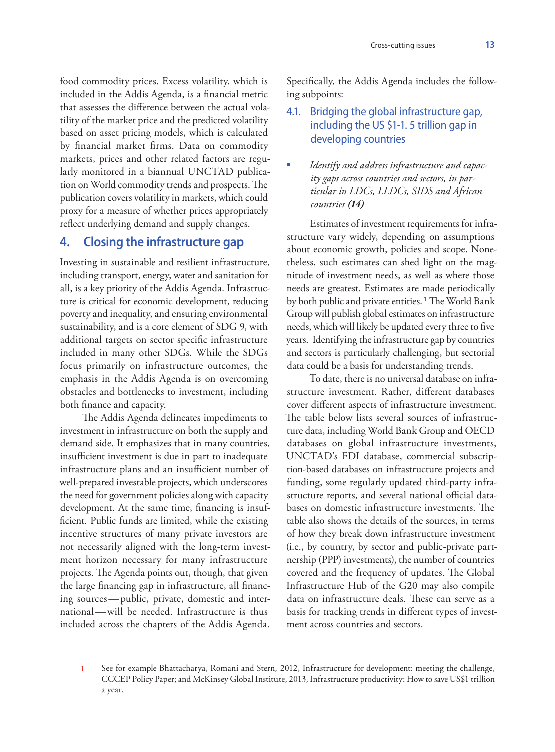food commodity prices. Excess volatility, which is included in the Addis Agenda, is a financial metric that assesses the difference between the actual volatility of the market price and the predicted volatility based on asset pricing models, which is calculated by financial market firms. Data on commodity markets, prices and other related factors are regularly monitored in a biannual UNCTAD publication on World commodity trends and prospects. The publication covers volatility in markets, which could proxy for a measure of whether prices appropriately reflect underlying demand and supply changes.

### **4. Closing the infrastructure gap**

Investing in sustainable and resilient infrastructure, including transport, energy, water and sanitation for all, is a key priority of the Addis Agenda. Infrastructure is critical for economic development, reducing poverty and inequality, and ensuring environmental sustainability, and is a core element of SDG 9, with additional targets on sector specific infrastructure included in many other SDGs. While the SDGs focus primarily on infrastructure outcomes, the emphasis in the Addis Agenda is on overcoming obstacles and bottlenecks to investment, including both finance and capacity.

The Addis Agenda delineates impediments to investment in infrastructure on both the supply and demand side. It emphasizes that in many countries, insufficient investment is due in part to inadequate infrastructure plans and an insufficient number of well-prepared investable projects, which underscores the need for government policies along with capacity development. At the same time, financing is insufficient. Public funds are limited, while the existing incentive structures of many private investors are not necessarily aligned with the long-term investment horizon necessary for many infrastructure projects. The Agenda points out, though, that given the large financing gap in infrastructure, all financing sources—public, private, domestic and international—will be needed. Infrastructure is thus included across the chapters of the Addis Agenda.

Specifically, the Addis Agenda includes the following subpoints:

# 4.1. Bridging the global infrastructure gap, including the US \$1-1. 5 trillion gap in developing countries

 *Identify and address infrastructure and capacity gaps across countries and sectors, in particular in LDCs, LLDCs, SIDS and African countries (14)*

Estimates of investment requirements for infrastructure vary widely, depending on assumptions about economic growth, policies and scope. Nonetheless, such estimates can shed light on the magnitude of investment needs, as well as where those needs are greatest. Estimates are made periodically by both public and private entities. **<sup>1</sup>** The World Bank Group will publish global estimates on infrastructure needs, which will likely be updated every three to five years. Identifying the infrastructure gap by countries and sectors is particularly challenging, but sectorial data could be a basis for understanding trends.

To date, there is no universal database on infrastructure investment. Rather, different databases cover different aspects of infrastructure investment. The table below lists several sources of infrastructure data, including World Bank Group and OECD databases on global infrastructure investments, UNCTAD's FDI database, commercial subscription-based databases on infrastructure projects and funding, some regularly updated third-party infrastructure reports, and several national official databases on domestic infrastructure investments. The table also shows the details of the sources, in terms of how they break down infrastructure investment (i.e., by country, by sector and public-private partnership (PPP) investments), the number of countries covered and the frequency of updates. The Global Infrastructure Hub of the G20 may also compile data on infrastructure deals. These can serve as a basis for tracking trends in different types of investment across countries and sectors.

<sup>1</sup> See for example Bhattacharya, Romani and Stern, 2012, Infrastructure for development: meeting the challenge, CCCEP Policy Paper; and McKinsey Global Institute, 2013, Infrastructure productivity: How to save US\$1 trillion a year.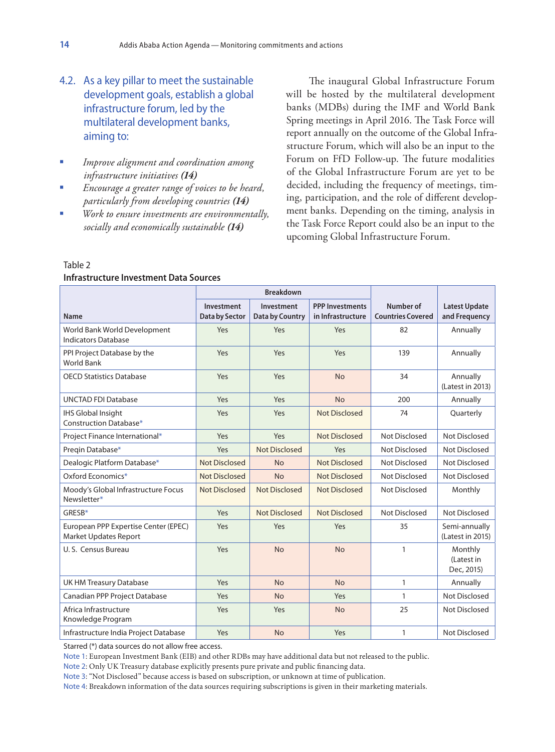- 4.2. As a key pillar to meet the sustainable development goals, establish a global infrastructure forum, led by the multilateral development banks, aiming to:
- *Improve alignment and coordination among infrastructure initiatives (14)*
- *Encourage a greater range of voices to be heard, particularly from developing countries (14)*
- *Work to ensure investments are environmentally, socially and economically sustainable (14)*

The inaugural Global Infrastructure Forum will be hosted by the multilateral development banks (MDBs) during the IMF and World Bank Spring meetings in April 2016. The Task Force will report annually on the outcome of the Global Infrastructure Forum, which will also be an input to the Forum on FfD Follow-up. The future modalities of the Global Infrastructure Forum are yet to be decided, including the frequency of meetings, timing, participation, and the role of different development banks. Depending on the timing, analysis in the Task Force Report could also be an input to the upcoming Global Infrastructure Forum.

|                                                               | <b>Breakdown</b>             |                                      |                                             |                                       |                                       |
|---------------------------------------------------------------|------------------------------|--------------------------------------|---------------------------------------------|---------------------------------------|---------------------------------------|
| <b>Name</b>                                                   | Investment<br>Data by Sector | Investment<br><b>Data by Country</b> | <b>PPP Investments</b><br>in Infrastructure | Number of<br><b>Countries Covered</b> | <b>Latest Update</b><br>and Frequency |
| World Bank World Development<br><b>Indicators Database</b>    | Yes                          | Yes                                  | Yes                                         | 82                                    | Annually                              |
| PPI Project Database by the<br><b>World Bank</b>              | Yes                          | Yes                                  | Yes                                         | 139                                   | Annually                              |
| <b>OECD Statistics Database</b>                               | Yes                          | Yes                                  | <b>No</b>                                   | 34                                    | Annually<br>(Latest in 2013)          |
| <b>UNCTAD FDI Database</b>                                    | Yes                          | Yes                                  | <b>No</b>                                   | 200                                   | Annually                              |
| <b>IHS Global Insight</b><br>Construction Database*           | Yes                          | Yes                                  | <b>Not Disclosed</b>                        | 74                                    | Quarterly                             |
| Project Finance International*                                | Yes                          | Yes                                  | <b>Not Disclosed</b>                        | Not Disclosed                         | Not Disclosed                         |
| Preqin Database*                                              | Yes                          | <b>Not Disclosed</b>                 | Yes                                         | Not Disclosed                         | Not Disclosed                         |
| Dealogic Platform Database*                                   | Not Disclosed                | <b>No</b>                            | <b>Not Disclosed</b>                        | Not Disclosed                         | Not Disclosed                         |
| Oxford Economics*                                             | Not Disclosed                | <b>No</b>                            | Not Disclosed                               | Not Disclosed                         | Not Disclosed                         |
| Moody's Global Infrastructure Focus<br>Newsletter*            | Not Disclosed                | <b>Not Disclosed</b>                 | <b>Not Disclosed</b>                        | Not Disclosed                         | Monthly                               |
| GRESB*                                                        | Yes                          | <b>Not Disclosed</b>                 | <b>Not Disclosed</b>                        | Not Disclosed                         | Not Disclosed                         |
| European PPP Expertise Center (EPEC)<br>Market Updates Report | Yes                          | Yes                                  | Yes                                         | 35                                    | Semi-annually<br>(Latest in 2015)     |
| U.S. Census Bureau                                            | Yes                          | <b>No</b>                            | <b>No</b>                                   | $\mathbf{1}$                          | Monthly<br>(Latest in<br>Dec, 2015)   |
| <b>UK HM Treasury Database</b>                                | Yes                          | <b>No</b>                            | <b>No</b>                                   | $\mathbf{1}$                          | Annually                              |
| Canadian PPP Project Database                                 | Yes                          | <b>No</b>                            | Yes                                         | $\mathbf{1}$                          | Not Disclosed                         |
| Africa Infrastructure<br>Knowledge Program                    | Yes                          | Yes                                  | <b>No</b>                                   | 25                                    | Not Disclosed                         |
| Infrastructure India Project Database                         | Yes                          | <b>No</b>                            | Yes                                         | $\mathbf{1}$                          | <b>Not Disclosed</b>                  |

#### Table 2 **Infrastructure Investment Data Sources**

Starred (\*) data sources do not allow free access.

Note 1: European Investment Bank (EIB) and other RDBs may have additional data but not released to the public.

Note 2: Only UK Treasury database explicitly presents pure private and public financing data.

Note 3: "Not Disclosed" because access is based on subscription, or unknown at time of publication.

Note 4: Breakdown information of the data sources requiring subscriptions is given in their marketing materials.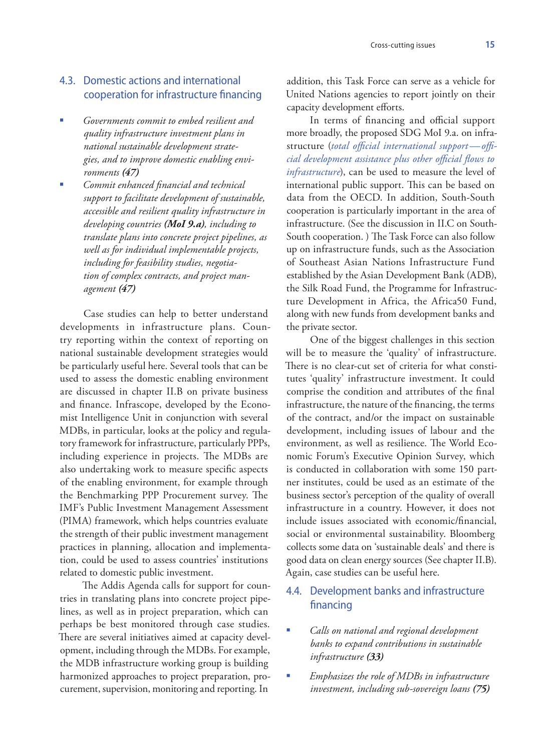## 4.3. Domestic actions and international cooperation for infrastructure financing

- *Governments commit to embed resilient and quality infrastructure investment plans in national sustainable development strategies, and to improve domestic enabling environments (47)*
- *Commit enhanced financial and technical support to facilitate development of sustainable, accessible and resilient quality infrastructure in developing countries (MoI 9.a), including to translate plans into concrete project pipelines, as well as for individual implementable projects, including for feasibility studies, negotiation of complex contracts, and project management (47)*

Case studies can help to better understand developments in infrastructure plans. Country reporting within the context of reporting on national sustainable development strategies would be particularly useful here. Several tools that can be used to assess the domestic enabling environment are discussed in chapter II.B on private business and finance. Infrascope, developed by the Economist Intelligence Unit in conjunction with several MDBs, in particular, looks at the policy and regulatory framework for infrastructure, particularly PPPs, including experience in projects. The MDBs are also undertaking work to measure specific aspects of the enabling environment, for example through the Benchmarking PPP Procurement survey. The IMF's Public Investment Management Assessment (PIMA) framework, which helps countries evaluate the strength of their public investment management practices in planning, allocation and implementation, could be used to assess countries' institutions related to domestic public investment.

The Addis Agenda calls for support for countries in translating plans into concrete project pipelines, as well as in project preparation, which can perhaps be best monitored through case studies. There are several initiatives aimed at capacity development, including through the MDBs. For example, the MDB infrastructure working group is building harmonized approaches to project preparation, procurement, supervision, monitoring and reporting. In

addition, this Task Force can serve as a vehicle for United Nations agencies to report jointly on their capacity development efforts.

In terms of financing and official support more broadly, the proposed SDG MoI 9.a. on infrastructure (*total official international support—official development assistance plus other official flows to infrastructure*), can be used to measure the level of international public support. This can be based on data from the OECD. In addition, South-South cooperation is particularly important in the area of infrastructure. (See the discussion in II.C on South-South cooperation. ) The Task Force can also follow up on infrastructure funds, such as the Association of Southeast Asian Nations Infrastructure Fund established by the Asian Development Bank (ADB), the Silk Road Fund, the Programme for Infrastructure Development in Africa, the Africa50 Fund, along with new funds from development banks and the private sector.

One of the biggest challenges in this section will be to measure the 'quality' of infrastructure. There is no clear-cut set of criteria for what constitutes 'quality' infrastructure investment. It could comprise the condition and attributes of the final infrastructure, the nature of the financing, the terms of the contract, and/or the impact on sustainable development, including issues of labour and the environment, as well as resilience. The World Economic Forum's Executive Opinion Survey, which is conducted in collaboration with some 150 partner institutes, could be used as an estimate of the business sector's perception of the quality of overall infrastructure in a country. However, it does not include issues associated with economic/financial, social or environmental sustainability. Bloomberg collects some data on 'sustainable deals' and there is good data on clean energy sources (See chapter II.B). Again, case studies can be useful here.

# 4.4. Development banks and infrastructure financing

- *Calls on national and regional development banks to expand contributions in sustainable infrastructure (33)*
- *Emphasizes the role of MDBs in infrastructure investment, including sub-sovereign loans (75)*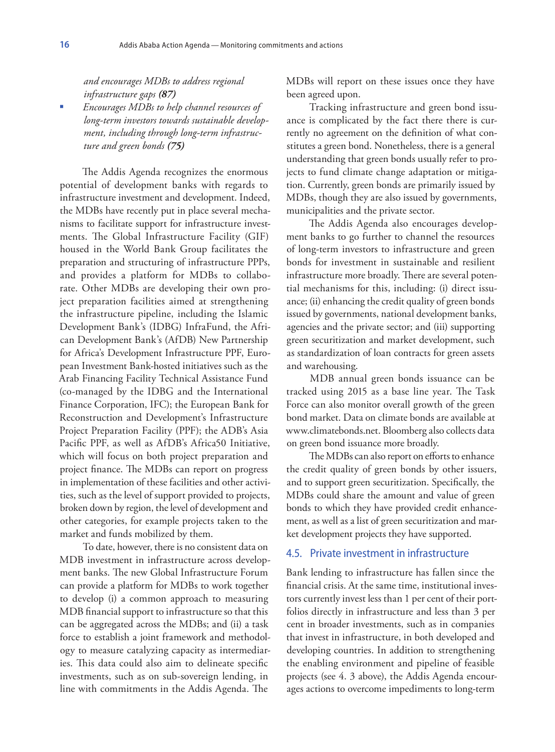*and encourages MDBs to address regional infrastructure gaps (87)*

 *Encourages MDBs to help channel resources of long-term investors towards sustainable development, including through long-term infrastructure and green bonds (75)*

The Addis Agenda recognizes the enormous potential of development banks with regards to infrastructure investment and development. Indeed, the MDBs have recently put in place several mechanisms to facilitate support for infrastructure investments. The Global Infrastructure Facility (GIF) housed in the World Bank Group facilitates the preparation and structuring of infrastructure PPPs, and provides a platform for MDBs to collaborate. Other MDBs are developing their own project preparation facilities aimed at strengthening the infrastructure pipeline, including the Islamic Development Bank's (IDBG) InfraFund, the African Development Bank's (AfDB) New Partnership for Africa's Development Infrastructure PPF, European Investment Bank-hosted initiatives such as the Arab Financing Facility Technical Assistance Fund (co-managed by the IDBG and the International Finance Corporation, IFC); the European Bank for Reconstruction and Development's Infrastructure Project Preparation Facility (PPF); the ADB's Asia Pacific PPF, as well as AfDB's Africa50 Initiative, which will focus on both project preparation and project finance. The MDBs can report on progress in implementation of these facilities and other activities, such as the level of support provided to projects, broken down by region, the level of development and other categories, for example projects taken to the market and funds mobilized by them.

To date, however, there is no consistent data on MDB investment in infrastructure across development banks. The new Global Infrastructure Forum can provide a platform for MDBs to work together to develop (i) a common approach to measuring MDB financial support to infrastructure so that this can be aggregated across the MDBs; and (ii) a task force to establish a joint framework and methodology to measure catalyzing capacity as intermediaries. This data could also aim to delineate specific investments, such as on sub-sovereign lending, in line with commitments in the Addis Agenda. The

MDBs will report on these issues once they have been agreed upon.

Tracking infrastructure and green bond issuance is complicated by the fact there there is currently no agreement on the definition of what constitutes a green bond. Nonetheless, there is a general understanding that green bonds usually refer to projects to fund climate change adaptation or mitigation. Currently, green bonds are primarily issued by MDBs, though they are also issued by governments, municipalities and the private sector.

The Addis Agenda also encourages development banks to go further to channel the resources of long-term investors to infrastructure and green bonds for investment in sustainable and resilient infrastructure more broadly. There are several potential mechanisms for this, including: (i) direct issuance; (ii) enhancing the credit quality of green bonds issued by governments, national development banks, agencies and the private sector; and (iii) supporting green securitization and market development, such as standardization of loan contracts for green assets and warehousing.

MDB annual green bonds issuance can be tracked using 2015 as a base line year. The Task Force can also monitor overall growth of the green bond market. Data on climate bonds are available at www.climatebonds.net. Bloomberg also collects data on green bond issuance more broadly.

The MDBs can also report on efforts to enhance the credit quality of green bonds by other issuers, and to support green securitization. Specifically, the MDBs could share the amount and value of green bonds to which they have provided credit enhancement, as well as a list of green securitization and market development projects they have supported.

#### 4.5. Private investment in infrastructure

Bank lending to infrastructure has fallen since the financial crisis. At the same time, institutional investors currently invest less than 1 per cent of their portfolios directly in infrastructure and less than 3 per cent in broader investments, such as in companies that invest in infrastructure, in both developed and developing countries. In addition to strengthening the enabling environment and pipeline of feasible projects (see 4. 3 above), the Addis Agenda encourages actions to overcome impediments to long-term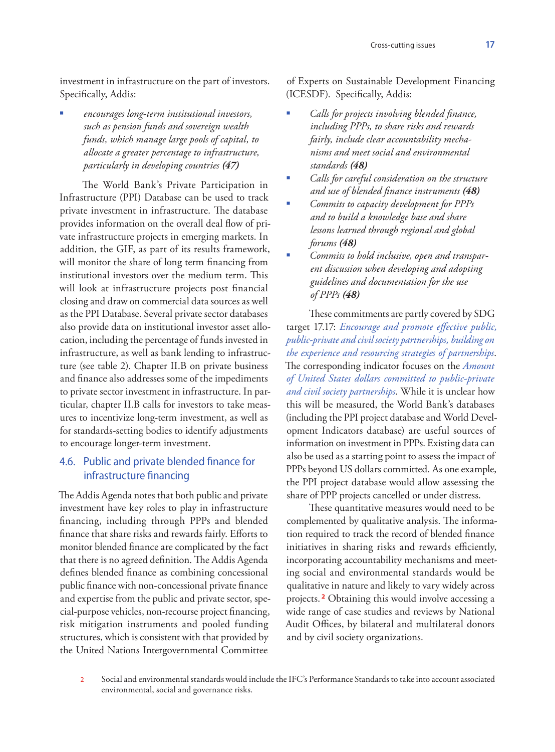investment in infrastructure on the part of investors. Specifically, Addis:

 *encourages long-term institutional investors, such as pension funds and sovereign wealth funds, which manage large pools of capital, to allocate a greater percentage to infrastructure, particularly in developing countries (47)*

The World Bank's Private Participation in Infrastructure (PPI) Database can be used to track private investment in infrastructure. The database provides information on the overall deal flow of private infrastructure projects in emerging markets. In addition, the GIF, as part of its results framework, will monitor the share of long term financing from institutional investors over the medium term. This will look at infrastructure projects post financial closing and draw on commercial data sources as well as the PPI Database. Several private sector databases also provide data on institutional investor asset allocation, including the percentage of funds invested in infrastructure, as well as bank lending to infrastructure (see table 2). Chapter II.B on private business and finance also addresses some of the impediments to private sector investment in infrastructure. In particular, chapter II.B calls for investors to take measures to incentivize long-term investment, as well as for standards-setting bodies to identify adjustments to encourage longer-term investment.

### 4.6. Public and private blended finance for infrastructure financing

The Addis Agenda notes that both public and private investment have key roles to play in infrastructure financing, including through PPPs and blended finance that share risks and rewards fairly. Efforts to monitor blended finance are complicated by the fact that there is no agreed definition. The Addis Agenda defines blended finance as combining concessional public finance with non-concessional private finance and expertise from the public and private sector, special-purpose vehicles, non-recourse project financing, risk mitigation instruments and pooled funding structures, which is consistent with that provided by the United Nations Intergovernmental Committee

of Experts on Sustainable Development Financing (ICESDF). Specifically, Addis:

- *Calls for projects involving blended finance, including PPPs, to share risks and rewards fairly, include clear accountability mechanisms and meet social and environmental standards (48)*
- *Calls for careful consideration on the structure and use of blended finance instruments (48)*
- *Commits to capacity development for PPPs and to build a knowledge base and share lessons learned through regional and global forums (48)*
- *Commits to hold inclusive, open and transparent discussion when developing and adopting guidelines and documentation for the use of PPPs (48)*

These commitments are partly covered by SDG target 17.17: *Encourage and promote effective public, public-private and civil society partnerships, building on the experience and resourcing strategies of partnerships*. The corresponding indicator focuses on the *Amount of United States dollars committed to public-private and civil society partnerships*. While it is unclear how this will be measured, the World Bank's databases (including the PPI project database and World Development Indicators database) are useful sources of information on investment in PPPs. Existing data can also be used as a starting point to assess the impact of PPPs beyond US dollars committed. As one example, the PPI project database would allow assessing the share of PPP projects cancelled or under distress.

These quantitative measures would need to be complemented by qualitative analysis. The information required to track the record of blended finance initiatives in sharing risks and rewards efficiently, incorporating accountability mechanisms and meeting social and environmental standards would be qualitative in nature and likely to vary widely across projects. **<sup>2</sup>** Obtaining this would involve accessing a wide range of case studies and reviews by National Audit Offices, by bilateral and multilateral donors and by civil society organizations.

2 Social and environmental standards would include the IFC's Performance Standards to take into account associated environmental, social and governance risks.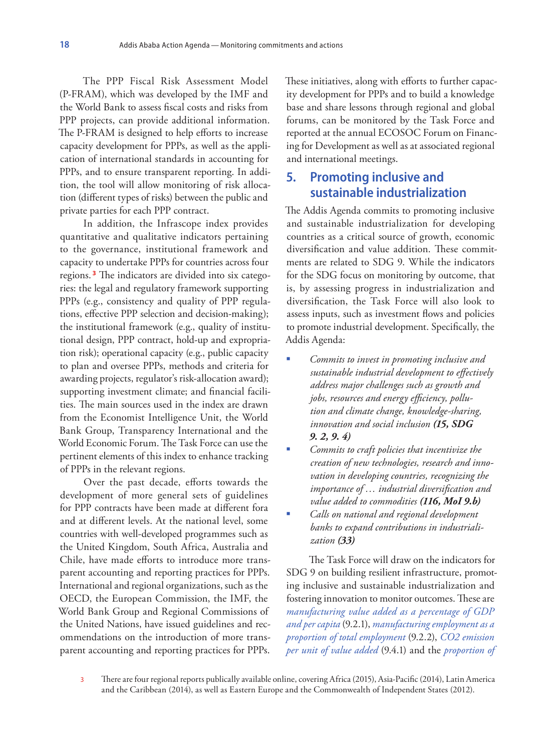The PPP Fiscal Risk Assessment Model (P-FRAM), which was developed by the IMF and the World Bank to assess fiscal costs and risks from PPP projects, can provide additional information. The P-FRAM is designed to help efforts to increase capacity development for PPPs, as well as the application of international standards in accounting for PPPs, and to ensure transparent reporting. In addition, the tool will allow monitoring of risk allocation (different types of risks) between the public and private parties for each PPP contract.

In addition, the Infrascope index provides quantitative and qualitative indicators pertaining to the governance, institutional framework and capacity to undertake PPPs for countries across four regions. **<sup>3</sup>** The indicators are divided into six categories: the legal and regulatory framework supporting PPPs (e.g., consistency and quality of PPP regulations, effective PPP selection and decision-making); the institutional framework (e.g., quality of institutional design, PPP contract, hold-up and expropriation risk); operational capacity (e.g., public capacity to plan and oversee PPPs, methods and criteria for awarding projects, regulator's risk-allocation award); supporting investment climate; and financial facilities. The main sources used in the index are drawn from the Economist Intelligence Unit, the World Bank Group, Transparency International and the World Economic Forum. The Task Force can use the pertinent elements of this index to enhance tracking of PPPs in the relevant regions.

Over the past decade, efforts towards the development of more general sets of guidelines for PPP contracts have been made at different fora and at different levels. At the national level, some countries with well-developed programmes such as the United Kingdom, South Africa, Australia and Chile, have made efforts to introduce more transparent accounting and reporting practices for PPPs. International and regional organizations, such as the OECD, the European Commission, the IMF, the World Bank Group and Regional Commissions of the United Nations, have issued guidelines and recommendations on the introduction of more transparent accounting and reporting practices for PPPs.

These initiatives, along with efforts to further capacity development for PPPs and to build a knowledge base and share lessons through regional and global forums, can be monitored by the Task Force and reported at the annual ECOSOC Forum on Financing for Development as well as at associated regional and international meetings.

# **5. Promoting inclusive and sustainable industrialization**

The Addis Agenda commits to promoting inclusive and sustainable industrialization for developing countries as a critical source of growth, economic diversification and value addition. These commitments are related to SDG 9. While the indicators for the SDG focus on monitoring by outcome, that is, by assessing progress in industrialization and diversification, the Task Force will also look to assess inputs, such as investment flows and policies to promote industrial development. Specifically, the Addis Agenda:

- *Commits to invest in promoting inclusive and sustainable industrial development to effectively address major challenges such as growth and jobs, resources and energy efficiency, pollution and climate change, knowledge-sharing, innovation and social inclusion (15, SDG 9. 2, 9. 4)*
- *Commits to craft policies that incentivize the creation of new technologies, research and innovation in developing countries, recognizing the importance of … industrial diversification and value added to commodities (116, MoI 9.b)*
- *Calls on national and regional development banks to expand contributions in industrialization (33)*

The Task Force will draw on the indicators for SDG 9 on building resilient infrastructure, promoting inclusive and sustainable industrialization and fostering innovation to monitor outcomes. These are *manufacturing value added as a percentage of GDP and per capita* (9.2.1), *manufacturing employment as a proportion of total employment* (9.2.2), *CO2 emission per unit of value added* (9.4.1) and the *proportion of* 

3 There are four regional reports publically available online, covering Africa (2015), Asia-Pacific (2014), Latin America and the Caribbean (2014), as well as Eastern Europe and the Commonwealth of Independent States (2012).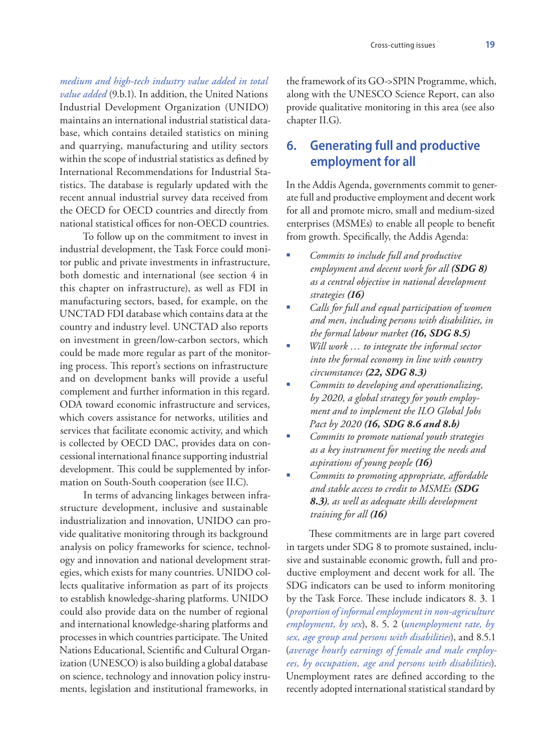*medium and high-tech industry value added in total value added* (9.b.1). In addition, the United Nations Industrial Development Organization (UNIDO) maintains an international industrial statistical database, which contains detailed statistics on mining and quarrying, manufacturing and utility sectors within the scope of industrial statistics as defined by International Recommendations for Industrial Statistics. The database is regularly updated with the recent annual industrial survey data received from the OECD for OECD countries and directly from national statistical offices for non-OECD countries.

To follow up on the commitment to invest in industrial development, the Task Force could monitor public and private investments in infrastructure, both domestic and international (see section 4 in this chapter on infrastructure), as well as FDI in manufacturing sectors, based, for example, on the UNCTAD FDI database which contains data at the country and industry level. UNCTAD also reports on investment in green/low-carbon sectors, which could be made more regular as part of the monitoring process. This report's sections on infrastructure and on development banks will provide a useful complement and further information in this regard. ODA toward economic infrastructure and services, which covers assistance for networks, utilities and services that facilitate economic activity, and which is collected by OECD DAC, provides data on concessional international finance supporting industrial development. This could be supplemented by information on South-South cooperation (see II.C).

In terms of advancing linkages between infrastructure development, inclusive and sustainable industrialization and innovation, UNIDO can provide qualitative monitoring through its background analysis on policy frameworks for science, technology and innovation and national development strategies, which exists for many countries. UNIDO collects qualitative information as part of its projects to establish knowledge-sharing platforms. UNIDO could also provide data on the number of regional and international knowledge-sharing platforms and processes in which countries participate. The United Nations Educational, Scientific and Cultural Organization (UNESCO) is also building a global database on science, technology and innovation policy instruments, legislation and institutional frameworks, in

the framework of its GO->SPIN Programme, which, along with the UNESCO Science Report, can also provide qualitative monitoring in this area (see also chapter II.G).

# **6. Generating full and productive employment for all**

In the Addis Agenda, governments commit to generate full and productive employment and decent work for all and promote micro, small and medium-sized enterprises (MSMEs) to enable all people to benefit from growth. Specifically, the Addis Agenda:

- *Commits to include full and productive employment and decent work for all (SDG 8) as a central objective in national development strategies (16)*
- *Calls for full and equal participation of women and men, including persons with disabilities, in the formal labour market (16, SDG 8.5)*
- *Will work … to integrate the informal sector into the formal economy in line with country circumstances (22, SDG 8.3)*
- *Commits to developing and operationalizing, by 2020, a global strategy for youth employment and to implement the ILO Global Jobs Pact by 2020 (16, SDG 8.6 and 8.b)*
- *Commits to promote national youth strategies as a key instrument for meeting the needs and aspirations of young people (16)*
- *Commits to promoting appropriate, affordable and stable access to credit to MSMEs (SDG 8.3), as well as adequate skills development training for all (16)*

These commitments are in large part covered in targets under SDG 8 to promote sustained, inclusive and sustainable economic growth, full and productive employment and decent work for all. The SDG indicators can be used to inform monitoring by the Task Force. These include indicators 8. 3. 1 (*proportion of informal employment in non-agriculture employment, by sex*), 8. 5. 2 (*unemployment rate, by sex, age group and persons with disabilities*), and 8.5.1 (*average hourly earnings of female and male employees, by occupation, age and persons with disabilities*). Unemployment rates are defined according to the recently adopted international statistical standard by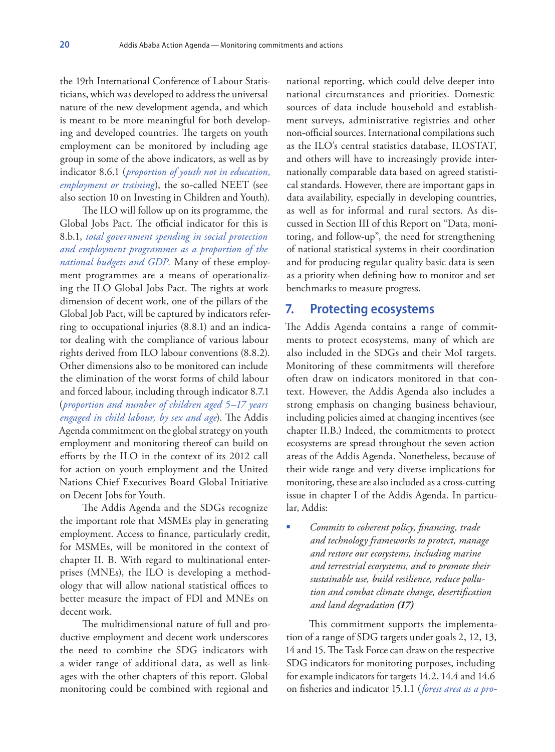the 19th International Conference of Labour Statisticians, which was developed to address the universal nature of the new development agenda, and which is meant to be more meaningful for both developing and developed countries. The targets on youth employment can be monitored by including age group in some of the above indicators, as well as by indicator 8.6.1 (*proportion of youth not in education, employment or training*), the so-called NEET (see also section 10 on Investing in Children and Youth).

The ILO will follow up on its programme, the Global Jobs Pact. The official indicator for this is 8.b.1, *total government spending in social protection and employment programmes as a proportion of the national budgets and GDP.* Many of these employment programmes are a means of operationalizing the ILO Global Jobs Pact. The rights at work dimension of decent work, one of the pillars of the Global Job Pact, will be captured by indicators referring to occupational injuries (8.8.1) and an indicator dealing with the compliance of various labour rights derived from ILO labour conventions (8.8.2). Other dimensions also to be monitored can include the elimination of the worst forms of child labour and forced labour, including through indicator 8.7.1 (*proportion and number of children aged 5–17 years engaged in child labour, by sex and age*). The Addis Agenda commitment on the global strategy on youth employment and monitoring thereof can build on efforts by the ILO in the context of its 2012 call for action on youth employment and the United Nations Chief Executives Board Global Initiative on Decent Jobs for Youth.

The Addis Agenda and the SDGs recognize the important role that MSMEs play in generating employment. Access to finance, particularly credit, for MSMEs, will be monitored in the context of chapter II. B. With regard to multinational enterprises (MNEs), the ILO is developing a methodology that will allow national statistical offices to better measure the impact of FDI and MNEs on decent work.

The multidimensional nature of full and productive employment and decent work underscores the need to combine the SDG indicators with a wider range of additional data, as well as linkages with the other chapters of this report. Global monitoring could be combined with regional and

national reporting, which could delve deeper into national circumstances and priorities. Domestic sources of data include household and establishment surveys, administrative registries and other non-official sources. International compilations such as the ILO's central statistics database, ILOSTAT, and others will have to increasingly provide internationally comparable data based on agreed statistical standards. However, there are important gaps in data availability, especially in developing countries, as well as for informal and rural sectors. As discussed in Section III of this Report on "Data, monitoring, and follow-up", the need for strengthening of national statistical systems in their coordination and for producing regular quality basic data is seen as a priority when defining how to monitor and set benchmarks to measure progress.

#### **7. Protecting ecosystems**

The Addis Agenda contains a range of commitments to protect ecosystems, many of which are also included in the SDGs and their MoI targets. Monitoring of these commitments will therefore often draw on indicators monitored in that context. However, the Addis Agenda also includes a strong emphasis on changing business behaviour, including policies aimed at changing incentives (see chapter II.B.) Indeed, the commitments to protect ecosystems are spread throughout the seven action areas of the Addis Agenda. Nonetheless, because of their wide range and very diverse implications for monitoring, these are also included as a cross-cutting issue in chapter I of the Addis Agenda. In particular, Addis:

 *Commits to coherent policy, financing, trade and technology frameworks to protect, manage and restore our ecosystems, including marine and terrestrial ecosystems, and to promote their sustainable use, build resilience, reduce pollution and combat climate change, desertification and land degradation (17)*

This commitment supports the implementation of a range of SDG targets under goals 2, 12, 13, 14 and 15. The Task Force can draw on the respective SDG indicators for monitoring purposes, including for example indicators for targets 14.2, 14.4 and 14.6 on fisheries and indicator 15.1.1 (*forest area as a pro-*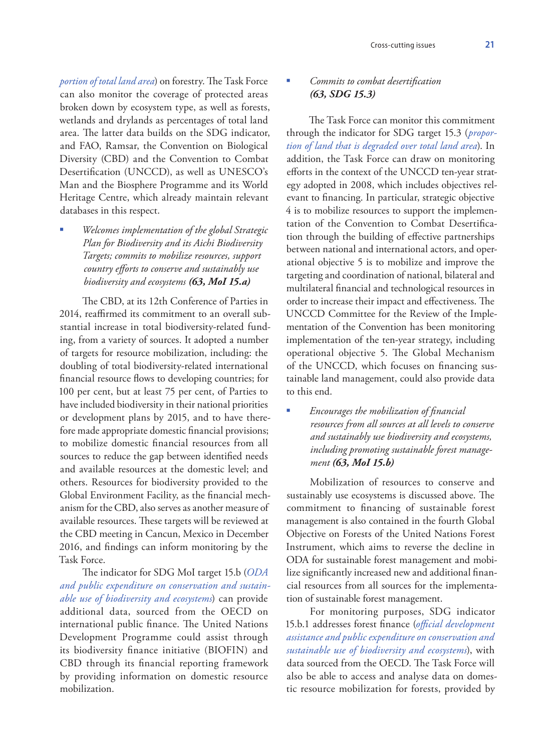*portion of total land area*) on forestry. The Task Force can also monitor the coverage of protected areas broken down by ecosystem type, as well as forests, wetlands and drylands as percentages of total land area. The latter data builds on the SDG indicator, and FAO, Ramsar, the Convention on Biological Diversity (CBD) and the Convention to Combat Desertification (UNCCD), as well as UNESCO's Man and the Biosphere Programme and its World Heritage Centre, which already maintain relevant databases in this respect.

 *Welcomes implementation of the global Strategic Plan for Biodiversity and its Aichi Biodiversity Targets; commits to mobilize resources, support country efforts to conserve and sustainably use biodiversity and ecosystems (63, MoI 15.a)*

The CBD, at its 12th Conference of Parties in 2014, reaffirmed its commitment to an overall substantial increase in total biodiversity-related funding, from a variety of sources. It adopted a number of targets for resource mobilization, including: the doubling of total biodiversity-related international financial resource flows to developing countries; for 100 per cent, but at least 75 per cent, of Parties to have included biodiversity in their national priorities or development plans by 2015, and to have therefore made appropriate domestic financial provisions; to mobilize domestic financial resources from all sources to reduce the gap between identified needs and available resources at the domestic level; and others. Resources for biodiversity provided to the Global Environment Facility, as the financial mechanism for the CBD, also serves as another measure of available resources. These targets will be reviewed at the CBD meeting in Cancun, Mexico in December 2016, and findings can inform monitoring by the Task Force.

The indicator for SDG MoI target 15.b (*ODA and public expenditure on conservation and sustainable use of biodiversity and ecosystems*) can provide additional data, sourced from the OECD on international public finance. The United Nations Development Programme could assist through its biodiversity finance initiative (BIOFIN) and CBD through its financial reporting framework by providing information on domestic resource mobilization.

### *Commits to combat desertification (63, SDG 15.3)*

The Task Force can monitor this commitment through the indicator for SDG target 15.3 (*proportion of land that is degraded over total land area*). In addition, the Task Force can draw on monitoring efforts in the context of the UNCCD ten-year strategy adopted in 2008, which includes objectives relevant to financing. In particular, strategic objective 4 is to mobilize resources to support the implementation of the Convention to Combat Desertification through the building of effective partnerships between national and international actors, and operational objective 5 is to mobilize and improve the targeting and coordination of national, bilateral and multilateral financial and technological resources in order to increase their impact and effectiveness. The UNCCD Committee for the Review of the Implementation of the Convention has been monitoring implementation of the ten-year strategy, including operational objective 5. The Global Mechanism of the UNCCD, which focuses on financing sustainable land management, could also provide data to this end.

 *Encourages the mobilization of financial resources from all sources at all levels to conserve and sustainably use biodiversity and ecosystems, including promoting sustainable forest management (63, MoI 15.b)*

Mobilization of resources to conserve and sustainably use ecosystems is discussed above. The commitment to financing of sustainable forest management is also contained in the fourth Global Objective on Forests of the United Nations Forest Instrument, which aims to reverse the decline in ODA for sustainable forest management and mobilize significantly increased new and additional financial resources from all sources for the implementation of sustainable forest management.

For monitoring purposes, SDG indicator 15.b.1 addresses forest finance (*official development assistance and public expenditure on conservation and sustainable use of biodiversity and ecosystems*), with data sourced from the OECD. The Task Force will also be able to access and analyse data on domestic resource mobilization for forests, provided by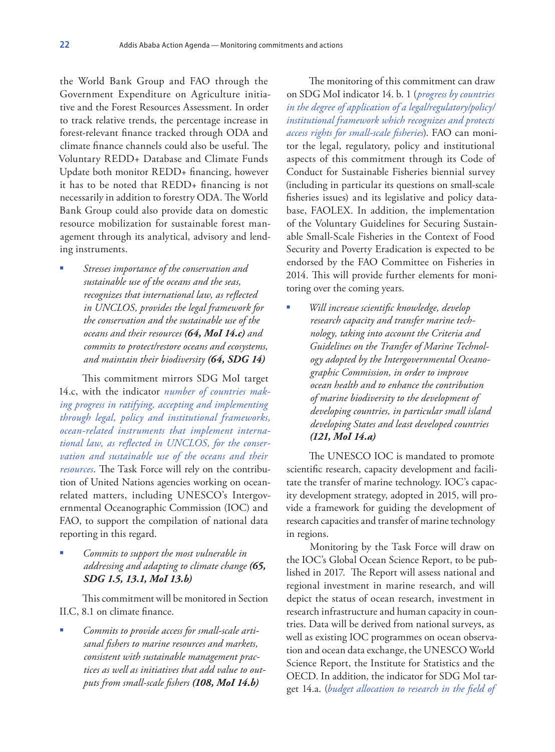the World Bank Group and FAO through the Government Expenditure on Agriculture initiative and the Forest Resources Assessment. In order to track relative trends, the percentage increase in forest-relevant finance tracked through ODA and climate finance channels could also be useful. The Voluntary REDD+ Database and Climate Funds Update both monitor REDD+ financing, however it has to be noted that REDD+ financing is not necessarily in addition to forestry ODA. The World Bank Group could also provide data on domestic resource mobilization for sustainable forest management through its analytical, advisory and lending instruments.

 *Stresses importance of the conservation and sustainable use of the oceans and the seas, recognizes that international law, as reflected in UNCLOS, provides the legal framework for the conservation and the sustainable use of the oceans and their resources (64, MoI 14.c) and commits to protect/restore oceans and ecosystems, and maintain their biodiversity (64, SDG 14)*

This commitment mirrors SDG MoI target 14.c, with the indicator *number of countries making progress in ratifying, accepting and implementing through legal, policy and institutional frameworks, ocean-related instruments that implement international law, as reflected in UNCLOS, for the conservation and sustainable use of the oceans and their resources*. The Task Force will rely on the contribution of United Nations agencies working on oceanrelated matters, including UNESCO's Intergovernmental Oceanographic Commission (IOC) and FAO, to support the compilation of national data reporting in this regard.

 *Commits to support the most vulnerable in addressing and adapting to climate change (65, SDG 1.5, 13.1, MoI 13.b)*

This commitment will be monitored in Section II.C, 8.1 on climate finance.

 *Commits to provide access for small-scale artisanal fishers to marine resources and markets, consistent with sustainable management practices as well as initiatives that add value to outputs from small-scale fishers (108, MoI 14.b)*

The monitoring of this commitment can draw on SDG MoI indicator 14. b. 1 (*progress by countries in the degree of application of a legal/regulatory/policy/ institutional framework which recognizes and protects access rights for small-scale fisheries*). FAO can monitor the legal, regulatory, policy and institutional aspects of this commitment through its Code of Conduct for Sustainable Fisheries biennial survey (including in particular its questions on small-scale fisheries issues) and its legislative and policy database, FAOLEX. In addition, the implementation of the Voluntary Guidelines for Securing Sustainable Small-Scale Fisheries in the Context of Food Security and Poverty Eradication is expected to be endorsed by the FAO Committee on Fisheries in 2014. This will provide further elements for monitoring over the coming years.

 *Will increase scientific knowledge, develop research capacity and transfer marine technology, taking into account the Criteria and Guidelines on the Transfer of Marine Technology adopted by the Intergovernmental Oceanographic Commission, in order to improve ocean health and to enhance the contribution of marine biodiversity to the development of developing countries, in particular small island developing States and least developed countries (121, MoI 14.a)*

The UNESCO IOC is mandated to promote scientific research, capacity development and facilitate the transfer of marine technology. IOC's capacity development strategy, adopted in 2015, will provide a framework for guiding the development of research capacities and transfer of marine technology in regions.

Monitoring by the Task Force will draw on the IOC's Global Ocean Science Report, to be published in 2017. The Report will assess national and regional investment in marine research, and will depict the status of ocean research, investment in research infrastructure and human capacity in countries. Data will be derived from national surveys, as well as existing IOC programmes on ocean observation and ocean data exchange, the UNESCO World Science Report, the Institute for Statistics and the OECD. In addition, the indicator for SDG MoI target 14.a. (*budget allocation to research in the field of*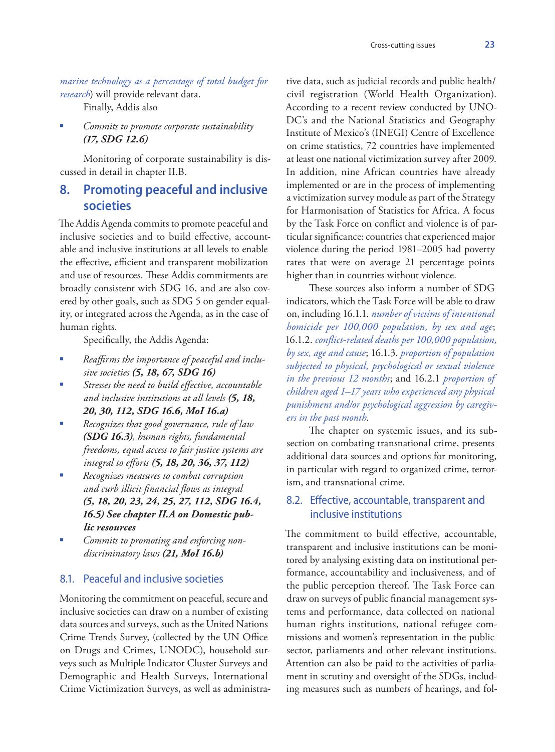*marine technology as a percentage of total budget for research*) will provide relevant data.

Finally, Addis also

 *Commits to promote corporate sustainability (17, SDG 12.6)*

Monitoring of corporate sustainability is discussed in detail in chapter II.B.

# **8. Promoting peaceful and inclusive societies**

The Addis Agenda commits to promote peaceful and inclusive societies and to build effective, accountable and inclusive institutions at all levels to enable the effective, efficient and transparent mobilization and use of resources. These Addis commitments are broadly consistent with SDG 16, and are also covered by other goals, such as SDG 5 on gender equality, or integrated across the Agenda, as in the case of human rights.

Specifically, the Addis Agenda:

- *Reaffirms the importance of peaceful and inclusive societies (5, 18, 67, SDG 16)*
- *Stresses the need to build effective, accountable and inclusive institutions at all levels (5, 18, 20, 30, 112, SDG 16.6, MoI 16.a)*
- *Recognizes that good governance, rule of law (SDG 16.3), human rights, fundamental freedoms, equal access to fair justice systems are integral to efforts (5, 18, 20, 36, 37, 112)*
- *Recognizes measures to combat corruption and curb illicit financial flows as integral (5, 18, 20, 23, 24, 25, 27, 112, SDG 16.4, 16.5) See chapter II.A on Domestic public resources*
- *Commits to promoting and enforcing nondiscriminatory laws (21, MoI 16.b)*

#### 8.1. Peaceful and inclusive societies

Monitoring the commitment on peaceful, secure and inclusive societies can draw on a number of existing data sources and surveys, such as the United Nations Crime Trends Survey, (collected by the UN Office on Drugs and Crimes, UNODC), household surveys such as Multiple Indicator Cluster Surveys and Demographic and Health Surveys, International Crime Victimization Surveys, as well as administra-

tive data, such as judicial records and public health/ civil registration (World Health Organization). According to a recent review conducted by UNO-DC's and the National Statistics and Geography Institute of Mexico's (INEGI) Centre of Excellence on crime statistics, 72 countries have implemented at least one national victimization survey after 2009. In addition, nine African countries have already implemented or are in the process of implementing a victimization survey module as part of the Strategy for Harmonisation of Statistics for Africa. A focus by the Task Force on conflict and violence is of particular significance: countries that experienced major violence during the period 1981–2005 had poverty rates that were on average 21 percentage points higher than in countries without violence.

These sources also inform a number of SDG indicators, which the Task Force will be able to draw on, including 16.1.1. *number of victims of intentional homicide per 100,000 population, by sex and age*; 16.1.2. *conflict-related deaths per 100,000 population, by sex, age and cause*; 16.1.3. *proportion of population subjected to physical, psychological or sexual violence in the previous 12 months*; and 16.2.1 *proportion of children aged 1–17 years who experienced any physical punishment and/or psychological aggression by caregivers in the past month*.

The chapter on systemic issues, and its subsection on combating transnational crime, presents additional data sources and options for monitoring, in particular with regard to organized crime, terrorism, and transnational crime.

### 8.2. Effective, accountable, transparent and inclusive institutions

The commitment to build effective, accountable, transparent and inclusive institutions can be monitored by analysing existing data on institutional performance, accountability and inclusiveness, and of the public perception thereof. The Task Force can draw on surveys of public financial management systems and performance, data collected on national human rights institutions, national refugee commissions and women's representation in the public sector, parliaments and other relevant institutions. Attention can also be paid to the activities of parliament in scrutiny and oversight of the SDGs, including measures such as numbers of hearings, and fol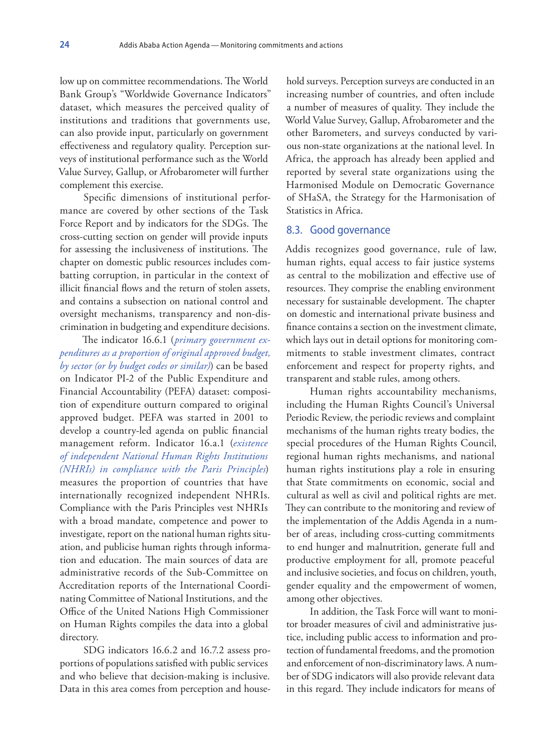low up on committee recommendations. The World Bank Group's "Worldwide Governance Indicators" dataset, which measures the perceived quality of institutions and traditions that governments use, can also provide input, particularly on government effectiveness and regulatory quality. Perception surveys of institutional performance such as the World Value Survey, Gallup, or Afrobarometer will further complement this exercise.

Specific dimensions of institutional performance are covered by other sections of the Task Force Report and by indicators for the SDGs. The cross-cutting section on gender will provide inputs for assessing the inclusiveness of institutions. The chapter on domestic public resources includes combatting corruption, in particular in the context of illicit financial flows and the return of stolen assets, and contains a subsection on national control and oversight mechanisms, transparency and non-discrimination in budgeting and expenditure decisions.

The indicator 16.6.1 (*primary government expenditures as a proportion of original approved budget, by sector (or by budget codes or similar)*) can be based on Indicator PI-2 of the Public Expenditure and Financial Accountability (PEFA) dataset: composition of expenditure outturn compared to original approved budget. PEFA was started in 2001 to develop a country-led agenda on public financial management reform. Indicator 16.a.1 (*existence of independent National Human Rights Institutions (NHRIs) in compliance with the Paris Principles*) measures the proportion of countries that have internationally recognized independent NHRIs. Compliance with the Paris Principles vest NHRIs with a broad mandate, competence and power to investigate, report on the national human rights situation, and publicise human rights through information and education. The main sources of data are administrative records of the Sub-Committee on Accreditation reports of the International Coordinating Committee of National Institutions, and the Office of the United Nations High Commissioner on Human Rights compiles the data into a global directory.

SDG indicators 16.6.2 and 16.7.2 assess proportions of populations satisfied with public services and who believe that decision-making is inclusive. Data in this area comes from perception and house-

hold surveys. Perception surveys are conducted in an increasing number of countries, and often include a number of measures of quality. They include the World Value Survey, Gallup, Afrobarometer and the other Barometers, and surveys conducted by various non-state organizations at the national level. In Africa, the approach has already been applied and reported by several state organizations using the Harmonised Module on Democratic Governance of SHaSA, the Strategy for the Harmonisation of Statistics in Africa.

#### 8.3. Good governance

Addis recognizes good governance, rule of law, human rights, equal access to fair justice systems as central to the mobilization and effective use of resources. They comprise the enabling environment necessary for sustainable development. The chapter on domestic and international private business and finance contains a section on the investment climate, which lays out in detail options for monitoring commitments to stable investment climates, contract enforcement and respect for property rights, and transparent and stable rules, among others.

Human rights accountability mechanisms, including the Human Rights Council's Universal Periodic Review, the periodic reviews and complaint mechanisms of the human rights treaty bodies, the special procedures of the Human Rights Council, regional human rights mechanisms, and national human rights institutions play a role in ensuring that State commitments on economic, social and cultural as well as civil and political rights are met. They can contribute to the monitoring and review of the implementation of the Addis Agenda in a number of areas, including cross-cutting commitments to end hunger and malnutrition, generate full and productive employment for all, promote peaceful and inclusive societies, and focus on children, youth, gender equality and the empowerment of women, among other objectives.

In addition, the Task Force will want to monitor broader measures of civil and administrative justice, including public access to information and protection of fundamental freedoms, and the promotion and enforcement of non-discriminatory laws. A number of SDG indicators will also provide relevant data in this regard. They include indicators for means of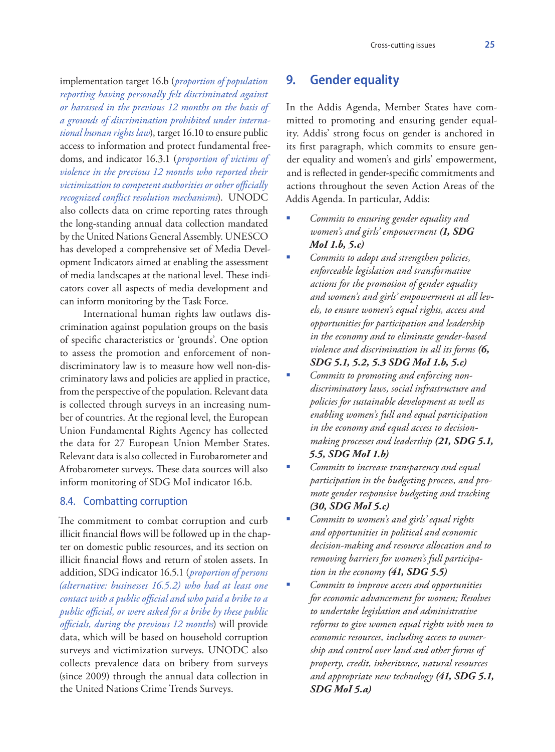implementation target 16.b (*proportion of population reporting having personally felt discriminated against or harassed in the previous 12 months on the basis of a grounds of discrimination prohibited under international human rights law*), target 16.10 to ensure public access to information and protect fundamental freedoms, and indicator 16.3.1 (*proportion of victims of violence in the previous 12 months who reported their victimization to competent authorities or other officially recognized conflict resolution mechanisms*). UNODC also collects data on crime reporting rates through the long-standing annual data collection mandated by the United Nations General Assembly. UNESCO has developed a comprehensive set of Media Development Indicators aimed at enabling the assessment of media landscapes at the national level. These indicators cover all aspects of media development and can inform monitoring by the Task Force.

International human rights law outlaws discrimination against population groups on the basis of specific characteristics or 'grounds'. One option to assess the promotion and enforcement of nondiscriminatory law is to measure how well non-discriminatory laws and policies are applied in practice, from the perspective of the population. Relevant data is collected through surveys in an increasing number of countries. At the regional level, the European Union Fundamental Rights Agency has collected the data for 27 European Union Member States. Relevant data is also collected in Eurobarometer and Afrobarometer surveys. These data sources will also inform monitoring of SDG MoI indicator 16.b.

#### 8.4. Combatting corruption

The commitment to combat corruption and curb illicit financial flows will be followed up in the chapter on domestic public resources, and its section on illicit financial flows and return of stolen assets. In addition, SDG indicator 16.5.1 (*proportion of persons (alternative: businesses 16.5.2) who had at least one contact with a public official and who paid a bribe to a public official, or were asked for a bribe by these public officials, during the previous 12 months*) will provide data, which will be based on household corruption surveys and victimization surveys. UNODC also collects prevalence data on bribery from surveys (since 2009) through the annual data collection in the United Nations Crime Trends Surveys.

# **9. Gender equality**

In the Addis Agenda, Member States have committed to promoting and ensuring gender equality. Addis' strong focus on gender is anchored in its first paragraph, which commits to ensure gender equality and women's and girls' empowerment, and is reflected in gender-specific commitments and actions throughout the seven Action Areas of the Addis Agenda. In particular, Addis:

- *Commits to ensuring gender equality and women's and girls' empowerment (1, SDG MoI 1.b, 5.c)*
- *Commits to adopt and strengthen policies, enforceable legislation and transformative actions for the promotion of gender equality and women's and girls' empowerment at all levels, to ensure women's equal rights, access and opportunities for participation and leadership in the economy and to eliminate gender-based violence and discrimination in all its forms (6, SDG 5.1, 5.2, 5.3 SDG MoI 1.b, 5.c)*
- *Commits to promoting and enforcing nondiscriminatory laws, social infrastructure and policies for sustainable development as well as enabling women's full and equal participation in the economy and equal access to decisionmaking processes and leadership (21, SDG 5.1, 5.5, SDG MoI 1.b)*
- *Commits to increase transparency and equal participation in the budgeting process, and promote gender responsive budgeting and tracking (30, SDG MoI 5.c)*
- *Commits to women's and girls' equal rights and opportunities in political and economic decision-making and resource allocation and to removing barriers for women's full participation in the economy (41, SDG 5.5)*
- *Commits to improve access and opportunities for economic advancement for women; Resolves to undertake legislation and administrative reforms to give women equal rights with men to economic resources, including access to ownership and control over land and other forms of property, credit, inheritance, natural resources and appropriate new technology (41, SDG 5.1, SDG MoI 5.a)*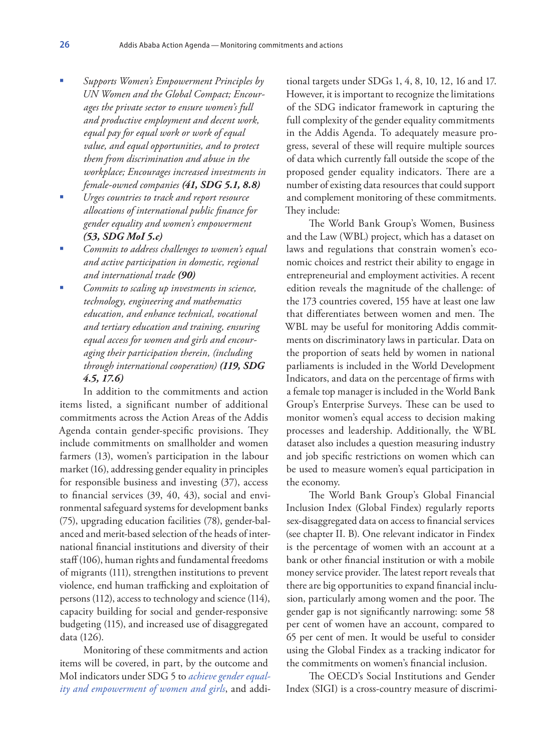- *Supports Women's Empowerment Principles by UN Women and the Global Compact; Encourages the private sector to ensure women's full and productive employment and decent work, equal pay for equal work or work of equal value, and equal opportunities, and to protect them from discrimination and abuse in the workplace; Encourages increased investments in female-owned companies (41, SDG 5.1, 8.8)*
- *Urges countries to track and report resource allocations of international public finance for gender equality and women's empowerment (53, SDG MoI 5.c)*
- *Commits to address challenges to women's equal and active participation in domestic, regional and international trade (90)*
- *Commits to scaling up investments in science, technology, engineering and mathematics education, and enhance technical, vocational and tertiary education and training, ensuring equal access for women and girls and encouraging their participation therein, (including through international cooperation) (119, SDG 4.5, 17.6)*

In addition to the commitments and action items listed, a significant number of additional commitments across the Action Areas of the Addis Agenda contain gender-specific provisions. They include commitments on smallholder and women farmers (13), women's participation in the labour market (16), addressing gender equality in principles for responsible business and investing (37), access to financial services (39, 40, 43), social and environmental safeguard systems for development banks (75), upgrading education facilities (78), gender-balanced and merit-based selection of the heads of international financial institutions and diversity of their staff (106), human rights and fundamental freedoms of migrants (111), strengthen institutions to prevent violence, end human trafficking and exploitation of persons (112), access to technology and science (114), capacity building for social and gender-responsive budgeting (115), and increased use of disaggregated data (126).

Monitoring of these commitments and action items will be covered, in part, by the outcome and MoI indicators under SDG 5 to *achieve gender equality and empowerment of women and girls*, and addi-

tional targets under SDGs 1, 4, 8, 10, 12, 16 and 17. However, it is important to recognize the limitations of the SDG indicator framework in capturing the full complexity of the gender equality commitments in the Addis Agenda. To adequately measure progress, several of these will require multiple sources of data which currently fall outside the scope of the proposed gender equality indicators. There are a number of existing data resources that could support and complement monitoring of these commitments. They include:

The World Bank Group's Women, Business and the Law (WBL) project, which has a dataset on laws and regulations that constrain women's economic choices and restrict their ability to engage in entrepreneurial and employment activities. A recent edition reveals the magnitude of the challenge: of the 173 countries covered, 155 have at least one law that differentiates between women and men. The WBL may be useful for monitoring Addis commitments on discriminatory laws in particular. Data on the proportion of seats held by women in national parliaments is included in the World Development Indicators, and data on the percentage of firms with a female top manager is included in the World Bank Group's Enterprise Surveys. These can be used to monitor women's equal access to decision making processes and leadership. Additionally, the WBL dataset also includes a question measuring industry and job specific restrictions on women which can be used to measure women's equal participation in the economy.

The World Bank Group's Global Financial Inclusion Index (Global Findex) regularly reports sex-disaggregated data on access to financial services (see chapter II. B). One relevant indicator in Findex is the percentage of women with an account at a bank or other financial institution or with a mobile money service provider. The latest report reveals that there are big opportunities to expand financial inclusion, particularly among women and the poor. The gender gap is not significantly narrowing: some 58 per cent of women have an account, compared to 65 per cent of men. It would be useful to consider using the Global Findex as a tracking indicator for the commitments on women's financial inclusion.

The OECD's Social Institutions and Gender Index (SIGI) is a cross-country measure of discrimi-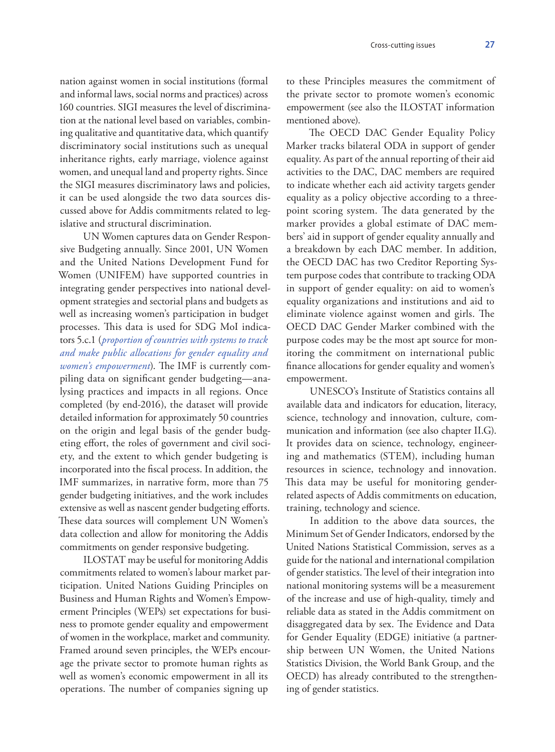nation against women in social institutions (formal and informal laws, social norms and practices) across 160 countries. SIGI measures the level of discrimination at the national level based on variables, combining qualitative and quantitative data, which quantify discriminatory social institutions such as unequal inheritance rights, early marriage, violence against women, and unequal land and property rights. Since the SIGI measures discriminatory laws and policies, it can be used alongside the two data sources discussed above for Addis commitments related to legislative and structural discrimination.

UN Women captures data on Gender Responsive Budgeting annually. Since 2001, UN Women and the United Nations Development Fund for Women (UNIFEM) have supported countries in integrating gender perspectives into national development strategies and sectorial plans and budgets as well as increasing women's participation in budget processes. This data is used for SDG MoI indicators 5.c.1 (*proportion of countries with systems to track and make public allocations for gender equality and women's empowerment*). The IMF is currently compiling data on significant gender budgeting—analysing practices and impacts in all regions. Once completed (by end-2016), the dataset will provide detailed information for approximately 50 countries on the origin and legal basis of the gender budgeting effort, the roles of government and civil society, and the extent to which gender budgeting is incorporated into the fiscal process. In addition, the IMF summarizes, in narrative form, more than 75 gender budgeting initiatives, and the work includes extensive as well as nascent gender budgeting efforts. These data sources will complement UN Women's data collection and allow for monitoring the Addis commitments on gender responsive budgeting.

ILOSTAT may be useful for monitoring Addis commitments related to women's labour market participation. United Nations Guiding Principles on Business and Human Rights and Women's Empowerment Principles (WEPs) set expectations for business to promote gender equality and empowerment of women in the workplace, market and community. Framed around seven principles, the WEPs encourage the private sector to promote human rights as well as women's economic empowerment in all its operations. The number of companies signing up

to these Principles measures the commitment of the private sector to promote women's economic empowerment (see also the ILOSTAT information mentioned above).

The OECD DAC Gender Equality Policy Marker tracks bilateral ODA in support of gender equality. As part of the annual reporting of their aid activities to the DAC, DAC members are required to indicate whether each aid activity targets gender equality as a policy objective according to a threepoint scoring system. The data generated by the marker provides a global estimate of DAC members' aid in support of gender equality annually and a breakdown by each DAC member. In addition, the OECD DAC has two Creditor Reporting System purpose codes that contribute to tracking ODA in support of gender equality: on aid to women's equality organizations and institutions and aid to eliminate violence against women and girls. The OECD DAC Gender Marker combined with the purpose codes may be the most apt source for monitoring the commitment on international public finance allocations for gender equality and women's empowerment.

UNESCO's Institute of Statistics contains all available data and indicators for education, literacy, science, technology and innovation, culture, communication and information (see also chapter II.G). It provides data on science, technology, engineering and mathematics (STEM), including human resources in science, technology and innovation. This data may be useful for monitoring genderrelated aspects of Addis commitments on education, training, technology and science.

In addition to the above data sources, the Minimum Set of Gender Indicators, endorsed by the United Nations Statistical Commission, serves as a guide for the national and international compilation of gender statistics. The level of their integration into national monitoring systems will be a measurement of the increase and use of high-quality, timely and reliable data as stated in the Addis commitment on disaggregated data by sex. The Evidence and Data for Gender Equality (EDGE) initiative (a partnership between UN Women, the United Nations Statistics Division, the World Bank Group, and the OECD) has already contributed to the strengthening of gender statistics.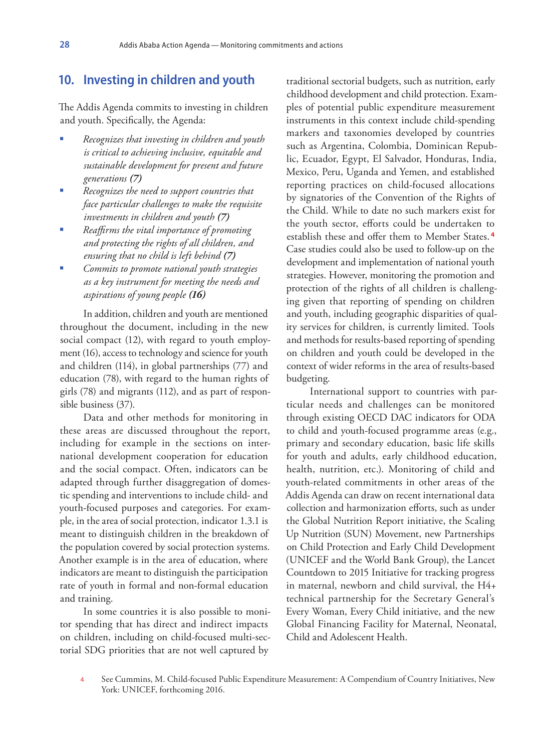### **10. Investing in children and youth**

The Addis Agenda commits to investing in children and youth. Specifically, the Agenda:

- *Recognizes that investing in children and youth is critical to achieving inclusive, equitable and sustainable development for present and future generations (7)*
- *Recognizes the need to support countries that face particular challenges to make the requisite investments in children and youth (7)*
- *Reaffirms the vital importance of promoting and protecting the rights of all children, and ensuring that no child is left behind (7)*
- *Commits to promote national youth strategies as a key instrument for meeting the needs and aspirations of young people (16)*

In addition, children and youth are mentioned throughout the document, including in the new social compact (12), with regard to youth employment (16), access to technology and science for youth and children (114), in global partnerships (77) and education (78), with regard to the human rights of girls (78) and migrants (112), and as part of responsible business (37).

Data and other methods for monitoring in these areas are discussed throughout the report, including for example in the sections on international development cooperation for education and the social compact. Often, indicators can be adapted through further disaggregation of domestic spending and interventions to include child- and youth-focused purposes and categories. For example, in the area of social protection, indicator 1.3.1 is meant to distinguish children in the breakdown of the population covered by social protection systems. Another example is in the area of education, where indicators are meant to distinguish the participation rate of youth in formal and non-formal education and training.

In some countries it is also possible to monitor spending that has direct and indirect impacts on children, including on child-focused multi-sectorial SDG priorities that are not well captured by

traditional sectorial budgets, such as nutrition, early childhood development and child protection. Examples of potential public expenditure measurement instruments in this context include child-spending markers and taxonomies developed by countries such as Argentina, Colombia, Dominican Republic, Ecuador, Egypt, El Salvador, Honduras, India, Mexico, Peru, Uganda and Yemen, and established reporting practices on child-focused allocations by signatories of the Convention of the Rights of the Child. While to date no such markers exist for the youth sector, efforts could be undertaken to establish these and offer them to Member States. **<sup>4</sup>** Case studies could also be used to follow-up on the development and implementation of national youth strategies. However, monitoring the promotion and protection of the rights of all children is challenging given that reporting of spending on children and youth, including geographic disparities of quality services for children, is currently limited. Tools and methods for results-based reporting of spending on children and youth could be developed in the context of wider reforms in the area of results-based budgeting.

International support to countries with particular needs and challenges can be monitored through existing OECD DAC indicators for ODA to child and youth-focused programme areas (e.g., primary and secondary education, basic life skills for youth and adults, early childhood education, health, nutrition, etc.). Monitoring of child and youth-related commitments in other areas of the Addis Agenda can draw on recent international data collection and harmonization efforts, such as under the Global Nutrition Report initiative, the Scaling Up Nutrition (SUN) Movement, new Partnerships on Child Protection and Early Child Development (UNICEF and the World Bank Group), the Lancet Countdown to 2015 Initiative for tracking progress in maternal, newborn and child survival, the H4+ technical partnership for the Secretary General's Every Woman, Every Child initiative, and the new Global Financing Facility for Maternal, Neonatal, Child and Adolescent Health.

<sup>4</sup> See Cummins, M. Child-focused Public Expenditure Measurement: A Compendium of Country Initiatives, New York: UNICEF, forthcoming 2016.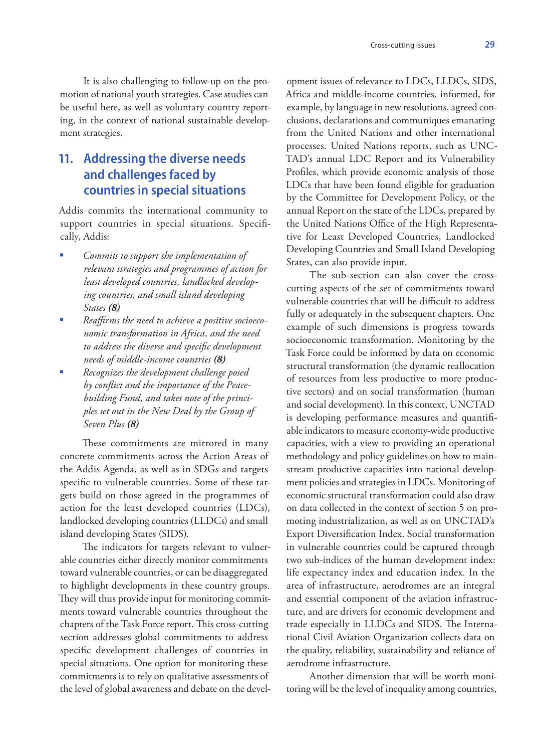It is also challenging to follow-up on the promotion of national youth strategies. Case studies can be useful here, as well as voluntary country reporting, in the context of national sustainable development strategies.

# **11. Addressing the diverse needs and challenges faced by countries in special situations**

Addis commits the international community to support countries in special situations. Specifically, Addis:

- *Commits to support the implementation of relevant strategies and programmes of action for least developed countries, landlocked developing countries, and small island developing States (8)*
- *Reaffirms the need to achieve a positive socioeconomic transformation in Africa, and the need to address the diverse and specific development needs of middle-income countries (8)*
- *Recognizes the development challenge posed by conflict and the importance of the Peacebuilding Fund, and takes note of the principles set out in the New Deal by the Group of Seven Plus (8)*

These commitments are mirrored in many concrete commitments across the Action Areas of the Addis Agenda, as well as in SDGs and targets specific to vulnerable countries. Some of these targets build on those agreed in the programmes of action for the least developed countries (LDCs), landlocked developing countries (LLDCs) and small island developing States (SIDS).

The indicators for targets relevant to vulnerable countries either directly monitor commitments toward vulnerable countries, or can be disaggregated to highlight developments in these country groups. They will thus provide input for monitoring commitments toward vulnerable countries throughout the chapters of the Task Force report. This cross-cutting section addresses global commitments to address specific development challenges of countries in special situations. One option for monitoring these commitments is to rely on qualitative assessments of the level of global awareness and debate on the devel-

opment issues of relevance to LDCs, LLDCs, SIDS, Africa and middle-income countries, informed, for example, by language in new resolutions, agreed conclusions, declarations and communiques emanating from the United Nations and other international processes. United Nations reports, such as UNC-TAD's annual LDC Report and its Vulnerability Profiles, which provide economic analysis of those LDCs that have been found eligible for graduation by the Committee for Development Policy, or the annual Report on the state of the LDCs, prepared by the United Nations Office of the High Representative for Least Developed Countries, Landlocked Developing Countries and Small Island Developing States, can also provide input.

The sub-section can also cover the crosscutting aspects of the set of commitments toward vulnerable countries that will be difficult to address fully or adequately in the subsequent chapters. One example of such dimensions is progress towards socioeconomic transformation. Monitoring by the Task Force could be informed by data on economic structural transformation (the dynamic reallocation of resources from less productive to more productive sectors) and on social transformation (human and social development). In this context, UNCTAD is developing performance measures and quantifiable indicators to measure economy-wide productive capacities, with a view to providing an operational methodology and policy guidelines on how to mainstream productive capacities into national development policies and strategies in LDCs. Monitoring of economic structural transformation could also draw on data collected in the context of section 5 on promoting industrialization, as well as on UNCTAD's Export Diversification Index. Social transformation in vulnerable countries could be captured through two sub-indices of the human development index: life expectancy index and education index. In the area of infrastructure, aerodromes are an integral and essential component of the aviation infrastructure, and are drivers for economic development and trade especially in LLDCs and SIDS. The International Civil Aviation Organization collects data on the quality, reliability, sustainability and reliance of aerodrome infrastructure.

Another dimension that will be worth monitoring will be the level of inequality among countries,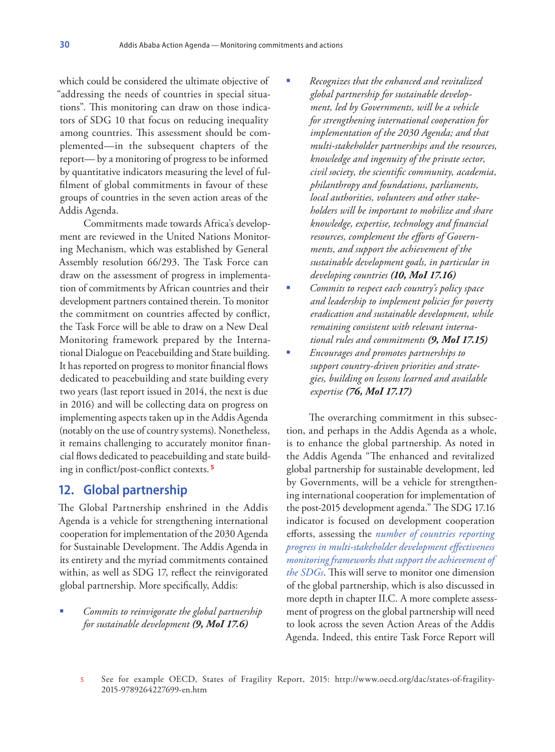which could be considered the ultimate objective of "addressing the needs of countries in special situations". This monitoring can draw on those indicators of SDG 10 that focus on reducing inequality among countries. This assessment should be complemented—in the subsequent chapters of the report— by a monitoring of progress to be informed by quantitative indicators measuring the level of fulfilment of global commitments in favour of these groups of countries in the seven action areas of the Addis Agenda.

Commitments made towards Africa's development are reviewed in the United Nations Monitoring Mechanism, which was established by General Assembly resolution 66/293. The Task Force can draw on the assessment of progress in implementation of commitments by African countries and their development partners contained therein. To monitor the commitment on countries affected by conflict, the Task Force will be able to draw on a New Deal Monitoring framework prepared by the International Dialogue on Peacebuilding and State building. It has reported on progress to monitor financial flows dedicated to peacebuilding and state building every two years (last report issued in 2014, the next is due in 2016) and will be collecting data on progress on implementing aspects taken up in the Addis Agenda (notably on the use of country systems). Nonetheless, it remains challenging to accurately monitor financial flows dedicated to peacebuilding and state building in conflict/post-conflict contexts. **<sup>5</sup>**

### **12. Global partnership**

The Global Partnership enshrined in the Addis Agenda is a vehicle for strengthening international cooperation for implementation of the 2030 Agenda for Sustainable Development. The Addis Agenda in its entirety and the myriad commitments contained within, as well as SDG 17, reflect the reinvigorated global partnership. More specifically, Addis:

 *Commits to reinvigorate the global partnership for sustainable development (9, MoI 17.6)*

- *Recognizes that the enhanced and revitalized global partnership for sustainable development, led by Governments, will be a vehicle for strengthening international cooperation for implementation of the 2030 Agenda; and that multi-stakeholder partnerships and the resources, knowledge and ingenuity of the private sector, civil society, the scientific community, academia, philanthropy and foundations, parliaments, local authorities, volunteers and other stakeholders will be important to mobilize and share knowledge, expertise, technology and financial resources, complement the efforts of Governments, and support the achievement of the sustainable development goals, in particular in developing countries (10, MoI 17.16)*
- *Commits to respect each country's policy space and leadership to implement policies for poverty eradication and sustainable development, while remaining consistent with relevant international rules and commitments (9, MoI 17.15)*
- *Encourages and promotes partnerships to support country-driven priorities and strategies, building on lessons learned and available expertise (76, MoI 17.17)*

The overarching commitment in this subsection, and perhaps in the Addis Agenda as a whole, is to enhance the global partnership. As noted in the Addis Agenda "The enhanced and revitalized global partnership for sustainable development, led by Governments, will be a vehicle for strengthening international cooperation for implementation of the post-2015 development agenda." The SDG 17.16 indicator is focused on development cooperation efforts, assessing the *number of countries reporting progress in multi-stakeholder development effectiveness monitoring frameworks that support the achievement of the SDGs*. This will serve to monitor one dimension of the global partnership, which is also discussed in more depth in chapter II.C. A more complete assessment of progress on the global partnership will need to look across the seven Action Areas of the Addis Agenda. Indeed, this entire Task Force Report will

<sup>5</sup> See for example OECD, States of Fragility Report, 2015: http://www.oecd.org/dac/states-of-fragility-2015-9789264227699-en.htm